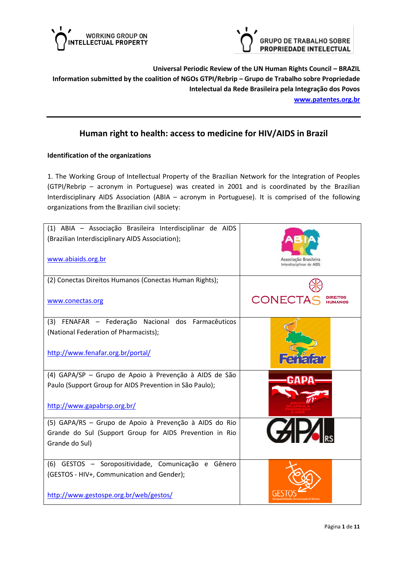



**Universal Periodic Review of the UN Human Rights Council – BRAZIL Information submitted by the coalition of NGOs GTPI/Rebrip – Grupo de Trabalho sobre Propriedade Intelectual da Rede Brasileira pela Integração dos Povos [www.patentes.org.br](http://www.patentes.org.br/)**

### **Human right to health: access to medicine for HIV/AIDS in Brazil**

### **Identification of the organizations**

1. The Working Group of Intellectual Property of the Brazilian Network for the Integration of Peoples (GTPI/Rebrip – acronym in Portuguese) was created in 2001 and is coordinated by the Brazilian Interdisciplinary AIDS Association (ABIA – acronym in Portuguese). It is comprised of the following organizations from the Brazilian civil society:

| (1) ABIA - Associação Brasileira Interdisciplinar de AIDS<br>(Brazilian Interdisciplinary AIDS Association);<br>www.abiaids.org.br                     | Associação Brasileira<br>Interdisciplinar de AIDS |
|--------------------------------------------------------------------------------------------------------------------------------------------------------|---------------------------------------------------|
| (2) Conectas Direitos Humanos (Conectas Human Rights);<br>www.conectas.org                                                                             | <b>CONECTA</b>                                    |
| (3) FENAFAR - Federação Nacional dos Farmacêuticos<br>(National Federation of Pharmacists);                                                            |                                                   |
| http://www.fenafar.org.br/portal/<br>(4) GAPA/SP - Grupo de Apoio à Prevenção à AIDS de São<br>Paulo (Support Group for AIDS Prevention in São Paulo); | <b>GAPA</b>                                       |
| http://www.gapabrsp.org.br/                                                                                                                            |                                                   |
| (5) GAPA/RS - Grupo de Apoio à Prevenção à AIDS do Rio<br>Grande do Sul (Support Group for AIDS Prevention in Rio<br>Grande do Sul)                    |                                                   |
| (6) GESTOS - Soropositividade, Comunicação e Gênero<br>(GESTOS - HIV+, Communication and Gender);<br>http://www.gestospe.org.br/web/gestos/            |                                                   |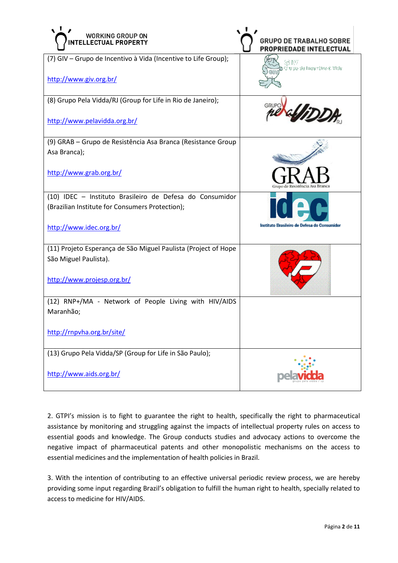| <b>WORKING GROUP ON</b><br><b>INTELLECTUAL PROPERTY</b>                                                     | <b>GRUPO DE TRABALHO SOBRE</b><br>PROPRIEDADE INTELECTUAL |
|-------------------------------------------------------------------------------------------------------------|-----------------------------------------------------------|
| (7) GIV - Grupo de Incentivo à Vida (Incentive to Life Group);<br>http://www.giv.org.br/                    | G IV<br>Grupp de Incentive à Vide                         |
| (8) Grupo Pela Vidda/RJ (Group for Life in Rio de Janeiro);                                                 | GRUPC                                                     |
| http://www.pelavidda.org.br/                                                                                |                                                           |
| (9) GRAB – Grupo de Resistência Asa Branca (Resistance Group<br>Asa Branca);                                |                                                           |
| http://www.grab.org.br/                                                                                     | Grupo de Resistência Asa Branca                           |
| (10) IDEC - Instituto Brasileiro de Defesa do Consumidor<br>(Brazilian Institute for Consumers Protection); |                                                           |
| http://www.idec.org.br/                                                                                     | Instituto Brasileiro de Defesa do Consumidor              |
| (11) Projeto Esperança de São Miguel Paulista (Project of Hope                                              |                                                           |
| São Miguel Paulista).                                                                                       |                                                           |
| http://www.projesp.org.br/                                                                                  |                                                           |
| (12) RNP+/MA - Network of People Living with HIV/AIDS<br>Maranhão;                                          |                                                           |
|                                                                                                             |                                                           |
| http://rnpvha.org.br/site/                                                                                  |                                                           |
| (13) Grupo Pela Vidda/SP (Group for Life in São Paulo);                                                     |                                                           |
| http://www.aids.org.br/                                                                                     |                                                           |

2. GTPI's mission is to fight to guarantee the right to health, specifically the right to pharmaceutical assistance by monitoring and struggling against the impacts of intellectual property rules on access to essential goods and knowledge. The Group conducts studies and advocacy actions to overcome the negative impact of pharmaceutical patents and other monopolistic mechanisms on the access to essential medicines and the implementation of health policies in Brazil.

3. With the intention of contributing to an effective universal periodic review process, we are hereby providing some input regarding Brazil's obligation to fulfill the human right to health, specially related to access to medicine for HIV/AIDS.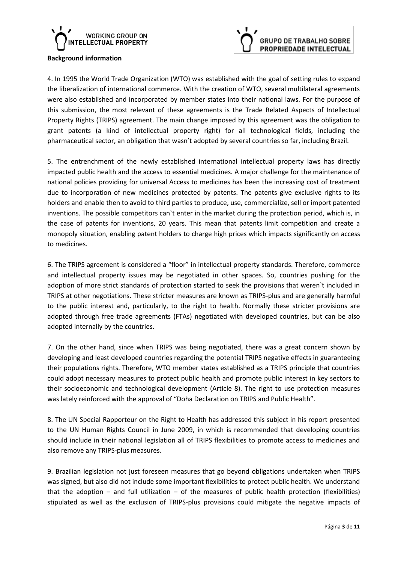



#### **Background information**

4. In 1995 the World Trade Organization (WTO) was established with the goal of setting rules to expand the liberalization of international commerce. With the creation of WTO, several multilateral agreements were also established and incorporated by member states into their national laws. For the purpose of this submission, the most relevant of these agreements is the Trade Related Aspects of Intellectual Property Rights (TRIPS) agreement. The main change imposed by this agreement was the obligation to grant patents (a kind of intellectual property right) for all technological fields, including the pharmaceutical sector, an obligation that wasn't adopted by several countries so far, including Brazil.

5. The entrenchment of the newly established international intellectual property laws has directly impacted public health and the access to essential medicines. A major challenge for the maintenance of national policies providing for universal Access to medicines has been the increasing cost of treatment due to incorporation of new medicines protected by patents. The patents give exclusive rights to its holders and enable then to avoid to third parties to produce, use, commercialize, sell or import patented inventions. The possible competitors can`t enter in the market during the protection period, which is, in the case of patents for inventions, 20 years. This mean that patents limit competition and create a monopoly situation, enabling patent holders to charge high prices which impacts significantly on access to medicines.

6. The TRIPS agreement is considered a "floor" in intellectual property standards. Therefore, commerce and intellectual property issues may be negotiated in other spaces. So, countries pushing for the adoption of more strict standards of protection started to seek the provisions that weren`t included in TRIPS at other negotiations. These stricter measures are known as TRIPS-plus and are generally harmful to the public interest and, particularly, to the right to health. Normally these stricter provisions are adopted through free trade agreements (FTAs) negotiated with developed countries, but can be also adopted internally by the countries.

7. On the other hand, since when TRIPS was being negotiated, there was a great concern shown by developing and least developed countries regarding the potential TRIPS negative effects in guaranteeing their populations rights. Therefore, WTO member states established as a TRIPS principle that countries could adopt necessary measures to protect public health and promote public interest in key sectors to their socioeconomic and technological development (Article 8). The right to use protection measures was lately reinforced with the approval of "Doha Declaration on TRIPS and Public Health".

8. The UN Special Rapporteur on the Right to Health has addressed this subject in his report presented to the UN Human Rights Council in June 2009, in which is recommended that developing countries should include in their national legislation all of TRIPS flexibilities to promote access to medicines and also remove any TRIPS-plus measures.

9. Brazilian legislation not just foreseen measures that go beyond obligations undertaken when TRIPS was signed, but also did not include some important flexibilities to protect public health. We understand that the adoption – and full utilization – of the measures of public health protection (flexibilities) stipulated as well as the exclusion of TRIPS-plus provisions could mitigate the negative impacts of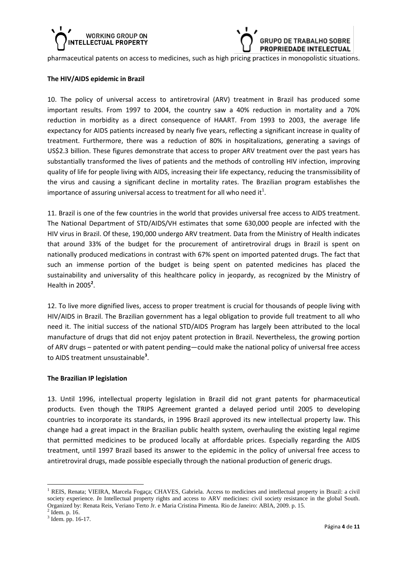

pharmaceutical patents on access to medicines, such as high pricing practices in monopolistic situations.

RUPO DE TRABALHO SOBRE

PROPRIEDADE INTELECTUAL

#### **The HIV/AIDS epidemic in Brazil**

10. The policy of universal access to antiretroviral (ARV) treatment in Brazil has produced some important results. From 1997 to 2004, the country saw a 40% reduction in mortality and a 70% reduction in morbidity as a direct consequence of HAART. From 1993 to 2003, the average life expectancy for AIDS patients increased by nearly five years, reflecting a significant increase in quality of treatment. Furthermore, there was a reduction of 80% in hospitalizations, generating a savings of US\$2.3 billion. These figures demonstrate that access to proper ARV treatment over the past years has substantially transformed the lives of patients and the methods of controlling HIV infection, improving quality of life for people living with AIDS, increasing their life expectancy, reducing the transmissibility of the virus and causing a significant decline in mortality rates. The Brazilian program establishes the importance of assuring universal access to treatment for all who need it $^1$ .

11. Brazil is one of the few countries in the world that provides universal free access to AIDS treatment. The National Department of STD/AIDS/VH estimates that some 630,000 people are infected with the HIV virus in Brazil. Of these, 190,000 undergo ARV treatment. Data from the Ministry of Health indicates that around 33% of the budget for the procurement of antiretroviral drugs in Brazil is spent on nationally produced medications in contrast with 67% spent on imported patented drugs. The fact that such an immense portion of the budget is being spent on patented medicines has placed the sustainability and universality of this healthcare policy in jeopardy, as recognized by the Ministry of Health in 2005**<sup>2</sup>** .

12. To live more dignified lives, access to proper treatment is crucial for thousands of people living with HIV/AIDS in Brazil. The Brazilian government has a legal obligation to provide full treatment to all who need it. The initial success of the national STD/AIDS Program has largely been attributed to the local manufacture of drugs that did not enjoy patent protection in Brazil. Nevertheless, the growing portion of ARV drugs – patented or with patent pending—could make the national policy of universal free access to AIDS treatment unsustainable**<sup>3</sup>** .

### **The Brazilian IP legislation**

13. Until 1996, intellectual property legislation in Brazil did not grant patents for pharmaceutical products. Even though the TRIPS Agreement granted a delayed period until 2005 to developing countries to incorporate its standards, in 1996 Brazil approved its new intellectual property law. This change had a great impact in the Brazilian public health system, overhauling the existing legal regime that permitted medicines to be produced locally at affordable prices. Especially regarding the AIDS treatment, until 1997 Brazil based its answer to the epidemic in the policy of universal free access to antiretroviral drugs, made possible especially through the national production of generic drugs.

<sup>&</sup>lt;sup>1</sup> REIS, Renata; VIEIRA, Marcela Fogaça; CHAVES, Gabriela. Access to medicines and intellectual property in Brazil: a civil society experience. *In* Intellectual property rights and access to ARV medicines: civil society resistance in the global South. Organized by: Renata Reis, Veriano Terto Jr. e Maria Cristina Pimenta. Rio de Janeiro: ABIA, 2009. p. 15.

 $2$  Idem. p. 16.

<sup>3</sup> Idem. pp. 16-17.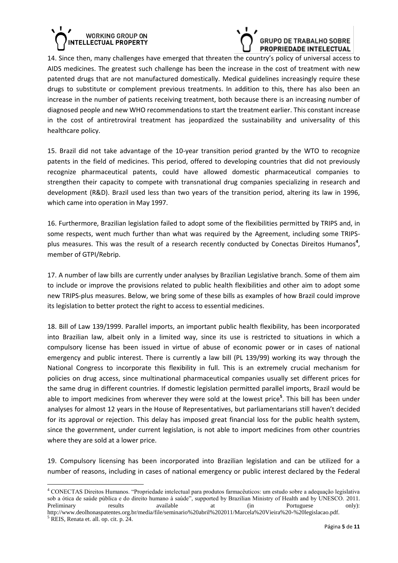# WORKING GROUP ON **INTELLECTUAL PROPERTY**



14. Since then, many challenges have emerged that threaten the country's policy of universal access to AIDS medicines. The greatest such challenge has been the increase in the cost of treatment with new patented drugs that are not manufactured domestically. Medical guidelines increasingly require these drugs to substitute or complement previous treatments. In addition to this, there has also been an increase in the number of patients receiving treatment, both because there is an increasing number of diagnosed people and new WHO recommendations to start the treatment earlier. This constant increase in the cost of antiretroviral treatment has jeopardized the sustainability and universality of this healthcare policy.

15. Brazil did not take advantage of the 10-year transition period granted by the WTO to recognize patents in the field of medicines. This period, offered to developing countries that did not previously recognize pharmaceutical patents, could have allowed domestic pharmaceutical companies to strengthen their capacity to compete with transnational drug companies specializing in research and development (R&D). Brazil used less than two years of the transition period, altering its law in 1996, which came into operation in May 1997.

16. Furthermore, Brazilian legislation failed to adopt some of the flexibilities permitted by TRIPS and, in some respects, went much further than what was required by the Agreement, including some TRIPSplus measures. This was the result of a research recently conducted by Conectas Direitos Humanos<sup>4</sup>, member of GTPI/Rebrip.

17. A number of law bills are currently under analyses by Brazilian Legislative branch. Some of them aim to include or improve the provisions related to public health flexibilities and other aim to adopt some new TRIPS-plus measures. Below, we bring some of these bills as examples of how Brazil could improve its legislation to better protect the right to access to essential medicines.

18. Bill of Law 139/1999. Parallel imports, an important public health flexibility, has been incorporated into Brazilian law, albeit only in a limited way, since its use is restricted to situations in which a compulsory license has been issued in virtue of abuse of economic power or in cases of national emergency and public interest. There is currently a law bill (PL 139/99) working its way through the National Congress to incorporate this flexibility in full. This is an extremely crucial mechanism for policies on drug access, since multinational pharmaceutical companies usually set different prices for the same drug in different countries. If domestic legislation permitted parallel imports, Brazil would be able to import medicines from wherever they were sold at the lowest price**<sup>5</sup>** . This bill has been under analyses for almost 12 years in the House of Representatives, but parliamentarians still haven't decided for its approval or rejection. This delay has imposed great financial loss for the public health system, since the government, under current legislation, is not able to import medicines from other countries where they are sold at a lower price.

19. Compulsory licensing has been incorporated into Brazilian legislation and can be utilized for a number of reasons, including in cases of national emergency or public interest declared by the Federal

 $\overline{a}$ <sup>4</sup> CONECTAS Direitos Humanos. "Propriedade intelectual para produtos farmacêuticos: um estudo sobre a adequação legislativa sob a ótica de saúde pública e do direito humano à saúde", supported by Brazilian Ministry of Health and by UNESCO. 2011. Preliminary results available at (in Portuguese only): http://www.deolhonaspatentes.org.br/media/file/seminario%20abril%202011/Marcela%20Vieira%20-%20legislacao.pdf.

<sup>5</sup> REIS, Renata et. all. op. cit. p. 24.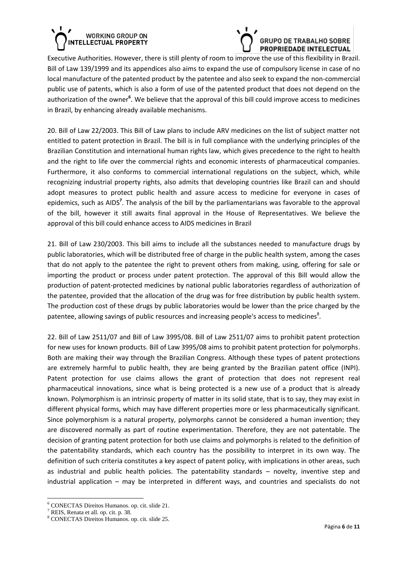# WORKING GROUP ON **INTELLECTUAL PROPERTY**



Executive Authorities. However, there is still plenty of room to improve the use of this flexibility in Brazil. Bill of Law 139/1999 and its appendices also aims to expand the use of compulsory license in case of no local manufacture of the patented product by the patentee and also seek to expand the non-commercial public use of patents, which is also a form of use of the patented product that does not depend on the authorization of the owner<sup>6</sup>. We believe that the approval of this bill could improve access to medicines in Brazil, by enhancing already available mechanisms.

20. Bill of Law 22/2003. This Bill of Law plans to include ARV medicines on the list of subject matter not entitled to patent protection in Brazil. The bill is in full compliance with the underlying principles of the Brazilian Constitution and international human rights law, which gives precedence to the right to health and the right to life over the commercial rights and economic interests of pharmaceutical companies. Furthermore, it also conforms to commercial international regulations on the subject, which, while recognizing industrial property rights, also admits that developing countries like Brazil can and should adopt measures to protect public health and assure access to medicine for everyone in cases of epidemics, such as AIDS<sup>7</sup>. The analysis of the bill by the parliamentarians was favorable to the approval of the bill, however it still awaits final approval in the House of Representatives. We believe the approval of this bill could enhance access to AIDS medicines in Brazil

21. Bill of Law 230/2003. This bill aims to include all the substances needed to manufacture drugs by public laboratories, which will be distributed free of charge in the public health system, among the cases that do not apply to the patentee the right to prevent others from making, using, offering for sale or importing the product or process under patent protection. The approval of this Bill would allow the production of patent-protected medicines by national public laboratories regardless of authorization of the patentee, provided that the allocation of the drug was for free distribution by public health system. The production cost of these drugs by public laboratories would be lower than the price charged by the patentee, allowing savings of public resources and increasing people's access to medicines $^{8}$ .

22. Bill of Law 2511/07 and Bill of Law 3995/08. Bill of Law 2511/07 aims to prohibit patent protection for new uses for known products. Bill of Law 3995/08 aims to prohibit patent protection for polymorphs. Both are making their way through the Brazilian Congress. Although these types of patent protections are extremely harmful to public health, they are being granted by the Brazilian patent office (INPI). Patent protection for use claims allows the grant of protection that does not represent real pharmaceutical innovations, since what is being protected is a new use of a product that is already known. Polymorphism is an intrinsic property of matter in its solid state, that is to say, they may exist in different physical forms, which may have different properties more or less pharmaceutically significant. Since polymorphism is a natural property, polymorphs cannot be considered a human invention; they are discovered normally as part of routine experimentation. Therefore, they are not patentable. The decision of granting patent protection for both use claims and polymorphs is related to the definition of the patentability standards, which each country has the possibility to interpret in its own way. The definition of such criteria constitutes a key aspect of patent policy, with implications in other areas, such as industrial and public health policies. The patentability standards – novelty, inventive step and industrial application – may be interpreted in different ways, and countries and specialists do not

<sup>6</sup> CONECTAS Direitos Humanos. op. cit. slide 21.

 $<sup>7</sup>$  REIS, Renata et all. op. cit. p. 38.</sup>

<sup>8</sup> CONECTAS Direitos Humanos. op. cit. slide 25.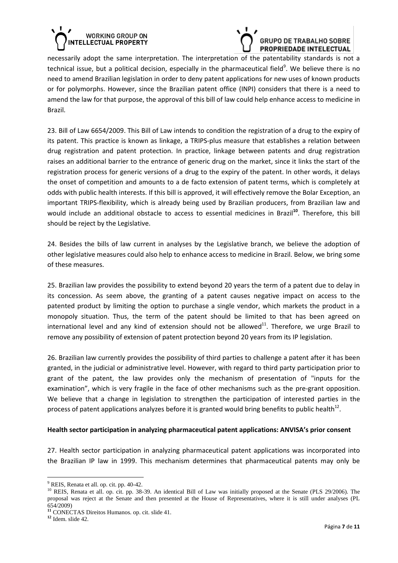



necessarily adopt the same interpretation. The interpretation of the patentability standards is not a technical issue, but a political decision, especially in the pharmaceutical field $^9$ . We believe there is no need to amend Brazilian legislation in order to deny patent applications for new uses of known products or for polymorphs. However, since the Brazilian patent office (INPI) considers that there is a need to amend the law for that purpose, the approval of this bill of law could help enhance access to medicine in Brazil.

23. Bill of Law 6654/2009. This Bill of Law intends to condition the registration of a drug to the expiry of its patent. This practice is known as linkage, a TRIPS-plus measure that establishes a relation between drug registration and patent protection. In practice, linkage between patents and drug registration raises an additional barrier to the entrance of generic drug on the market, since it links the start of the registration process for generic versions of a drug to the expiry of the patent. In other words, it delays the onset of competition and amounts to a de facto extension of patent terms, which is completely at odds with public health interests. If this bill is approved, it will effectively remove the Bolar Exception, an important TRIPS-flexibility, which is already being used by Brazilian producers, from Brazilian law and would include an additional obstacle to access to essential medicines in Brazil**<sup>10</sup>** . Therefore, this bill should be reject by the Legislative.

24. Besides the bills of law current in analyses by the Legislative branch, we believe the adoption of other legislative measures could also help to enhance access to medicine in Brazil. Below, we bring some of these measures.

25. Brazilian law provides the possibility to extend beyond 20 years the term of a patent due to delay in its concession. As seem above, the granting of a patent causes negative impact on access to the patented product by limiting the option to purchase a single vendor, which markets the product in a monopoly situation. Thus, the term of the patent should be limited to that has been agreed on international level and any kind of extension should not be allowed $^{11}$ . Therefore, we urge Brazil to remove any possibility of extension of patent protection beyond 20 years from its IP legislation.

26. Brazilian law currently provides the possibility of third parties to challenge a patent after it has been granted, in the judicial or administrative level. However, with regard to third party participation prior to grant of the patent, the law provides only the mechanism of presentation of "inputs for the examination", which is very fragile in the face of other mechanisms such as the pre-grant opposition. We believe that a change in legislation to strengthen the participation of interested parties in the process of patent applications analyzes before it is granted would bring benefits to public health<sup>12</sup>.

### **Health sector participation in analyzing pharmaceutical patent applications: ANVISA's prior consent**

27. Health sector participation in analyzing pharmaceutical patent applications was incorporated into the Brazilian IP law in 1999. This mechanism determines that pharmaceutical patents may only be

<sup>9</sup> REIS, Renata et all. op. cit. pp. 40-42.

<sup>10</sup> REIS, Renata et all. op. cit. pp. 38-39. An identical Bill of Law was initially proposed at the Senate (PLS 29/2006). The proposal was reject at the Senate and then presented at the House of Representatives, where it is still under analyses (PL 654/2009)

**<sup>11</sup>** CONECTAS Direitos Humanos. op. cit. slide 41.

**<sup>12</sup>** Idem. slide 42.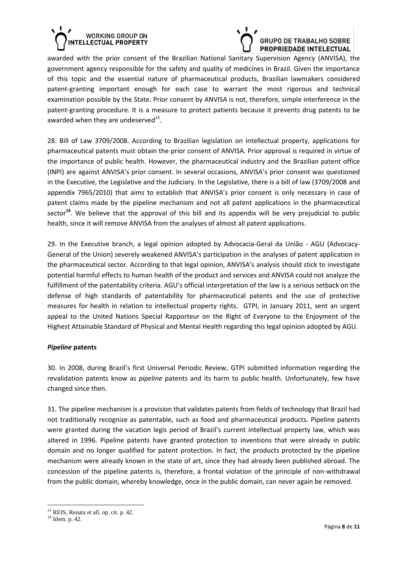## **WORKING GROUP ON NTELLECTUAL PROPERTY**



awarded with the prior consent of the Brazilian National Sanitary Supervision Agency (ANVISA), the government agency responsible for the safety and quality of medicines in Brazil. Given the importance of this topic and the essential nature of pharmaceutical products, Brazilian lawmakers considered patent-granting important enough for each case to warrant the most rigorous and technical examination possible by the State. Prior consent by ANVISA is not, therefore, simple interference in the patent-granting procedure. It is a measure to protect patients because it prevents drug patents to be awarded when they are undeserved $^{13}$ .

28. Bill of Law 3709/2008. According to Brazilian legislation on intellectual property, applications for pharmaceutical patents must obtain the prior consent of ANVISA. Prior approval is required in virtue of the importance of public health. However, the pharmaceutical industry and the Brazilian patent office (INPI) are against ANVISA's prior consent. In several occasions, ANVISA's prior consent was questioned in the Executive, the Legislative and the Judiciary. In the Legislative, there is a bill of law (3709/2008 and appendix 7965/2010) that aims to establish that ANVISA's prior consent is only necessary in case of patent claims made by the pipeline mechanism and not all patent applications in the pharmaceutical sector**<sup>14</sup>**. We believe that the approval of this bill and its appendix will be very prejudicial to public health, since it will remove ANVISA from the analyses of almost all patent applications.

29. In the Executive branch, a legal opinion adopted by Advocacia-Geral da União - AGU (Advocacy-General of the Union) severely weakened ANVISA's participation in the analyses of patent application in the pharmaceutical sector. According to that legal opinion, ANVISA's analysis should stick to investigate potential harmful effects to human health of the product and services and ANVISA could not analyze the fulfillment of the patentability criteria. AGU's official interpretation of the law is a serious setback on the defense of high standards of patentability for pharmaceutical patents and the use of protective measures for health in relation to intellectual property rights. GTPI, in January 2011, sent an urgent appeal to the United Nations Special Rapporteur on the Right of Everyone to the Enjoyment of the Highest Attainable Standard of Physical and Mental Health regarding this legal opinion adopted by AGU.

### *Pipeline* **patents**

30. In 2008, during Brazil's first Universal Periodic Review, GTPI submitted information regarding the revalidation patents know as *pipeline* patents and its harm to public health. Unfortunately, few have changed since then.

31. The pipeline mechanism is a provision that validates patents from fields of technology that Brazil had not traditionally recognize as patentable, such as food and pharmaceutical products. Pipeline patents were granted during the vacation legis period of Brazil's current intellectual property law, which was altered in 1996. Pipeline patents have granted protection to inventions that were already in public domain and no longer qualified for patent protection. In fact, the products protected by the pipeline mechanism were already known in the state of art, since they had already been published abroad. The concession of the pipeline patents is, therefore, a frontal violation of the principle of non-withdrawal from the public domain, whereby knowledge, once in the public domain, can never again be removed.

<sup>&</sup>lt;sup>13</sup> REIS, Renata et all. op. cit. p. 42.

<sup>14</sup> Idem. p. 42.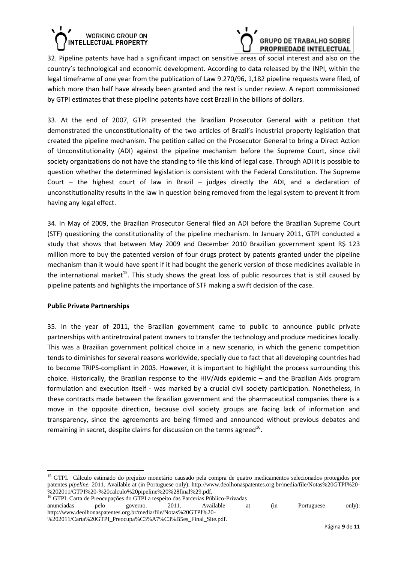



32. Pipeline patents have had a significant impact on sensitive areas of social interest and also on the country's technological and economic development. According to data released by the INPI, within the legal timeframe of one year from the publication of Law 9.270/96, 1,182 pipeline requests were filed, of which more than half have already been granted and the rest is under review. A report commissioned by GTPI estimates that these pipeline patents have cost Brazil in the billions of dollars.

33. At the end of 2007, GTPI presented the Brazilian Prosecutor General with a petition that demonstrated the unconstitutionality of the two articles of Brazil's industrial property legislation that created the pipeline mechanism. The petition called on the Prosecutor General to bring a Direct Action of Unconstitutionality (ADI) against the pipeline mechanism before the Supreme Court, since civil society organizations do not have the standing to file this kind of legal case. Through ADI it is possible to question whether the determined legislation is consistent with the Federal Constitution. The Supreme Court – the highest court of law in Brazil – judges directly the ADI, and a declaration of unconstitutionality results in the law in question being removed from the legal system to prevent it from having any legal effect.

34. In May of 2009, the Brazilian Prosecutor General filed an ADI before the Brazilian Supreme Court (STF) questioning the constitutionality of the pipeline mechanism. In January 2011, GTPI conducted a study that shows that between May 2009 and December 2010 Brazilian government spent R\$ 123 million more to buy the patented version of four drugs protect by patents granted under the pipeline mechanism than it would have spent if it had bought the generic version of those medicines available in the international market<sup>15</sup>. This study shows the great loss of public resources that is still caused by pipeline patents and highlights the importance of STF making a swift decision of the case.

### **Public Private Partnerships**

 $\overline{a}$ 

35. In the year of 2011, the Brazilian government came to public to announce public private partnerships with antiretroviral patent owners to transfer the technology and produce medicines locally. This was a Brazilian government political choice in a new scenario, in which the generic competition tends to diminishes for several reasons worldwide, specially due to fact that all developing countries had to become TRIPS-compliant in 2005. However, it is important to highlight the process surrounding this choice. Historically, the Brazilian response to the HIV/Aids epidemic – and the Brazilian Aids program formulation and execution itself - was marked by a crucial civil society participation. Nonetheless, in these contracts made between the Brazilian government and the pharmaceutical companies there is a move in the opposite direction, because civil society groups are facing lack of information and transparency, since the agreements are being firmed and announced without previous debates and remaining in secret, despite claims for discussion on the terms agreed $^{16}$ .

<sup>&</sup>lt;sup>15</sup> GTPI. Cálculo estimado do prejuízo monetário causado pela compra de quatro medicamentos selecionados protegidos por patentes *pipeline.* 2011. Available at (in Portuguese only): http://www.deolhonaspatentes.org.br/media/file/Notas%20GTPI%20- %202011/GTPI%20-%20calculo%20pipeline%20%28final%29.pdf.

<sup>16</sup> GTPI. Carta de Preocupações do GTPI a respeito das Parcerias Público-Privadas

anunciadas pelo governo. 2011. Available at (in Portuguese only): http://www.deolhonaspatentes.org.br/media/file/Notas%20GTPI%20-

<sup>%202011/</sup>Carta%20GTPI\_Preocupa%C3%A7%C3%B5es\_Final\_Site.pdf.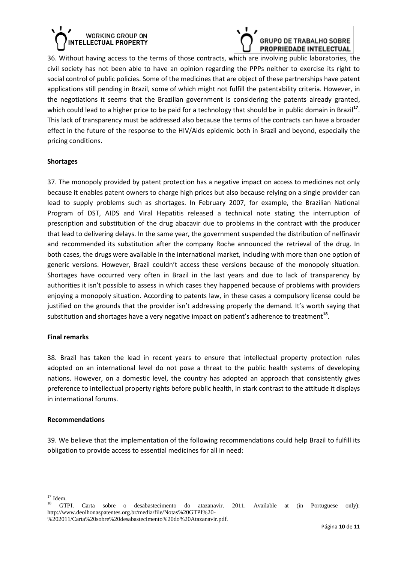# **WORKING GROUP ON INTELLECTUAL PROPERTY**



36. Without having access to the terms of those contracts, which are involving public laboratories, the civil society has not been able to have an opinion regarding the PPPs neither to exercise its right to social control of public policies. Some of the medicines that are object of these partnerships have patent applications still pending in Brazil, some of which might not fulfill the patentability criteria. However, in the negotiations it seems that the Brazilian government is considering the patents already granted, which could lead to a higher price to be paid for a technology that should be in public domain in Brazil**<sup>17</sup>** . This lack of transparency must be addressed also because the terms of the contracts can have a broader effect in the future of the response to the HIV/Aids epidemic both in Brazil and beyond, especially the pricing conditions.

### **Shortages**

37. The monopoly provided by patent protection has a negative impact on access to medicines not only because it enables patent owners to charge high prices but also because relying on a single provider can lead to supply problems such as shortages. In February 2007, for example, the Brazilian National Program of DST, AIDS and Viral Hepatitis released a technical note stating the interruption of prescription and substitution of the drug abacavir due to problems in the contract with the producer that lead to delivering delays. In the same year, the government suspended the distribution of nelfinavir and recommended its substitution after the company Roche announced the retrieval of the drug. In both cases, the drugs were available in the international market, including with more than one option of generic versions. However, Brazil couldn't access these versions because of the monopoly situation. Shortages have occurred very often in Brazil in the last years and due to lack of transparency by authorities it isn't possible to assess in which cases they happened because of problems with providers enjoying a monopoly situation. According to patents law, in these cases a compulsory license could be justified on the grounds that the provider isn't addressing properly the demand. It's worth saying that substitution and shortages have a very negative impact on patient's adherence to treatment<sup>18</sup>.

### **Final remarks**

38. Brazil has taken the lead in recent years to ensure that intellectual property protection rules adopted on an international level do not pose a threat to the public health systems of developing nations. However, on a domestic level, the country has adopted an approach that consistently gives preference to intellectual property rights before public health, in stark contrast to the attitude it displays in international forums.

### **Recommendations**

39. We believe that the implementation of the following recommendations could help Brazil to fulfill its obligation to provide access to essential medicines for all in need:

 $\overline{a}$  $17$  Idem.

<sup>&</sup>lt;sup>18</sup> GTPI. Carta sobre o desabastecimento do atazanavir. 2011. Available at (in Portuguese only): http://www.deolhonaspatentes.org.br/media/file/Notas%20GTPI%20-

<sup>%202011/</sup>Carta%20sobre%20desabastecimento%20do%20Atazanavir.pdf.